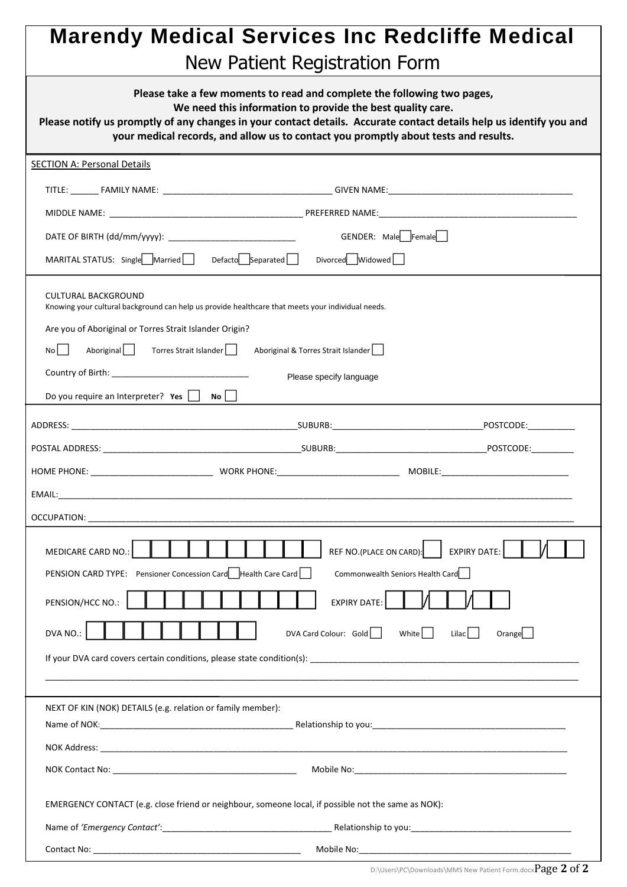## **Marendy Medical Services Inc Redcliffe Medical**  New Patient Registration Form

| Please take a few moments to read and complete the following two pages,<br>We need this information to provide the best quality care.<br>Please notify us promptly of any changes in your contact details. Accurate contact details help us identify you and<br>your medical records, and allow us to contact you promptly about tests and results. |                                     |  |
|-----------------------------------------------------------------------------------------------------------------------------------------------------------------------------------------------------------------------------------------------------------------------------------------------------------------------------------------------------|-------------------------------------|--|
| <b>SECTION A: Personal Details</b>                                                                                                                                                                                                                                                                                                                  |                                     |  |
|                                                                                                                                                                                                                                                                                                                                                     |                                     |  |
|                                                                                                                                                                                                                                                                                                                                                     |                                     |  |
|                                                                                                                                                                                                                                                                                                                                                     | GENDER: Male Female                 |  |
| MARITAL STATUS: Single Married Defacto Separated Divorced Widowed                                                                                                                                                                                                                                                                                   |                                     |  |
| CULTURAL BACKGROUND<br>Knowing your cultural background can help us provide healthcare that meets your individual needs.                                                                                                                                                                                                                            |                                     |  |
| Are you of Aboriginal or Torres Strait Islander Origin?                                                                                                                                                                                                                                                                                             |                                     |  |
| Aboriginal Torres Strait Islander  <br>Nol I                                                                                                                                                                                                                                                                                                        | Aboriginal & Torres Strait Islander |  |
| Please specify language                                                                                                                                                                                                                                                                                                                             |                                     |  |
| Do you require an Interpreter? Yes $\vert$ $\vert$ No $\vert$ $\vert$                                                                                                                                                                                                                                                                               |                                     |  |
|                                                                                                                                                                                                                                                                                                                                                     |                                     |  |
|                                                                                                                                                                                                                                                                                                                                                     |                                     |  |
|                                                                                                                                                                                                                                                                                                                                                     |                                     |  |
|                                                                                                                                                                                                                                                                                                                                                     |                                     |  |
|                                                                                                                                                                                                                                                                                                                                                     |                                     |  |
| MEDICARE CARD NO.:<br>REF NO.(PLACE ON CARD):  <br>EXPIRY DATE:<br>Μ<br>PENSION CARD TYPE: Pensioner Concession Card   Health Care Card<br>Commonwealth Seniors Health Card<br><b>EXPIRY DATE:</b><br>PENSION/HCC NO.:<br>DVA NO.:<br>DVA Card Colour: Gold<br>Orange<br>White    <br>Lilac                                                         |                                     |  |
| NEXT OF KIN (NOK) DETAILS (e.g. relation or family member):                                                                                                                                                                                                                                                                                         |                                     |  |
|                                                                                                                                                                                                                                                                                                                                                     |                                     |  |
|                                                                                                                                                                                                                                                                                                                                                     |                                     |  |
|                                                                                                                                                                                                                                                                                                                                                     |                                     |  |
| EMERGENCY CONTACT (e.g. close friend or neighbour, someone local, if possible not the same as NOK):                                                                                                                                                                                                                                                 |                                     |  |
|                                                                                                                                                                                                                                                                                                                                                     |                                     |  |
|                                                                                                                                                                                                                                                                                                                                                     |                                     |  |